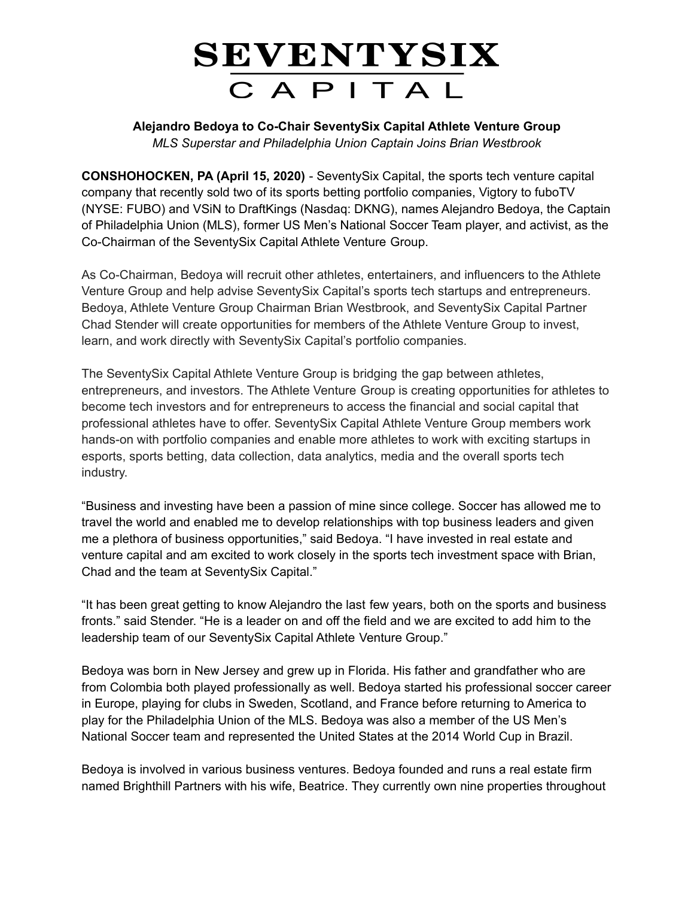## SEVENTYSIX CAPITAL

**Alejandro Bedoya to Co-Chair SeventySix Capital Athlete Venture Group** *MLS Superstar and Philadelphia Union Captain Joins Brian Westbrook*

**CONSHOHOCKEN, PA (April 15, 2020)** - SeventySix Capital, the sports tech venture capital company that recently sold two of its sports betting portfolio companies, Vigtory to fuboTV (NYSE: FUBO) and VSiN to DraftKings (Nasdaq: DKNG), names Alejandro Bedoya, the Captain of Philadelphia Union (MLS), former US Men's National Soccer Team player, and activist, as the Co-Chairman of the SeventySix Capital Athlete Venture Group.

As Co-Chairman, Bedoya will recruit other athletes, entertainers, and influencers to the Athlete Venture Group and help advise SeventySix Capital's sports tech startups and entrepreneurs. Bedoya, Athlete Venture Group Chairman Brian Westbrook, and SeventySix Capital Partner Chad Stender will create opportunities for members of the Athlete Venture Group to invest, learn, and work directly with SeventySix Capital's portfolio companies.

The SeventySix Capital Athlete Venture Group is bridging the gap between athletes, entrepreneurs, and investors. The Athlete Venture Group is creating opportunities for athletes to become tech investors and for entrepreneurs to access the financial and social capital that professional athletes have to offer. SeventySix Capital Athlete Venture Group members work hands-on with portfolio companies and enable more athletes to work with exciting startups in esports, sports betting, data collection, data analytics, media and the overall sports tech industry.

"Business and investing have been a passion of mine since college. Soccer has allowed me to travel the world and enabled me to develop relationships with top business leaders and given me a plethora of business opportunities," said Bedoya. "I have invested in real estate and venture capital and am excited to work closely in the sports tech investment space with Brian, Chad and the team at SeventySix Capital."

"It has been great getting to know Alejandro the last few years, both on the sports and business fronts." said Stender. "He is a leader on and off the field and we are excited to add him to the leadership team of our SeventySix Capital Athlete Venture Group."

Bedoya was born in New Jersey and grew up in Florida. His father and grandfather who are from Colombia both played professionally as well. Bedoya started his professional soccer career in Europe, playing for clubs in Sweden, Scotland, and France before returning to America to play for the Philadelphia Union of the MLS. Bedoya was also a member of the US Men's National Soccer team and represented the United States at the 2014 World Cup in Brazil.

Bedoya is involved in various business ventures. Bedoya founded and runs a real estate firm named Brighthill Partners with his wife, Beatrice. They currently own nine properties throughout